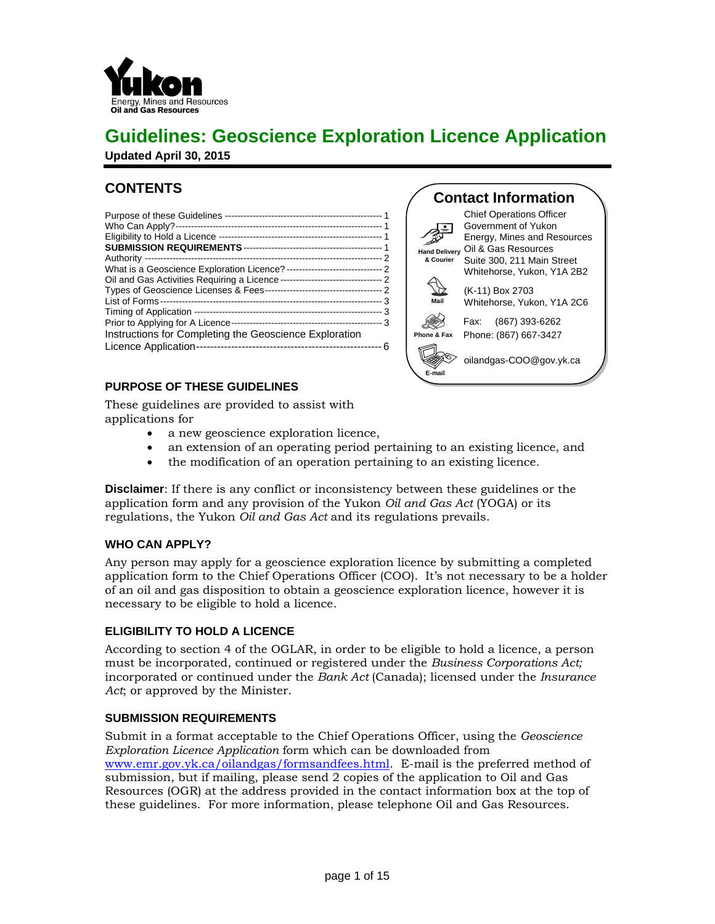

# **Guidelines: Geoscience Exploration Licence Application**

**Updated April 30, 2015**

# **CONTENTS**

| Eligibility to Hold a Licence                                                              |  |
|--------------------------------------------------------------------------------------------|--|
|                                                                                            |  |
|                                                                                            |  |
| Oil and Gas Activities Requiring a Licence                                                 |  |
|                                                                                            |  |
|                                                                                            |  |
|                                                                                            |  |
| Prior to Applying for A Licence-<br>Instructions for Completing the Geoscience Exploration |  |
|                                                                                            |  |

# **PURPOSE OF THESE GUIDELINES**



These guidelines are provided to assist with applications for

- a new geoscience exploration licence,
- an extension of an operating period pertaining to an existing licence, and
- the modification of an operation pertaining to an existing licence.

**Disclaimer**: If there is any conflict or inconsistency between these guidelines or the application form and any provision of the Yukon *Oil and Gas Act* (YOGA) or its regulations, the Yukon *Oil and Gas Act* and its regulations prevails.

#### **WHO CAN APPLY?**

Any person may apply for a geoscience exploration licence by submitting a completed application form to the Chief Operations Officer (COO). It's not necessary to be a holder of an oil and gas disposition to obtain a geoscience exploration licence, however it is necessary to be eligible to hold a licence.

# **ELIGIBILITY TO HOLD A LICENCE**

According to section 4 of the OGLAR, in order to be eligible to hold a licence, a person must be incorporated, continued or registered under the *Business Corporations Act;*  incorporated or continued under the *Bank Act* (Canada); licensed under the *Insurance Act*; or approved by the Minister.

#### **SUBMISSION REQUIREMENTS**

Submit in a format acceptable to the Chief Operations Officer, using the *Geoscience Exploration Licence Application* form which can be downloaded from [www.emr.gov.yk.ca/oilandgas/formsandfees.html.](http://www.emr.gov.yk.ca/oilandgas/formsandfees.html) E-mail is the preferred method of submission, but if mailing, please send 2 copies of the application to Oil and Gas Resources (OGR) at the address provided in the contact information box at the top of these guidelines. For more information, please telephone Oil and Gas Resources.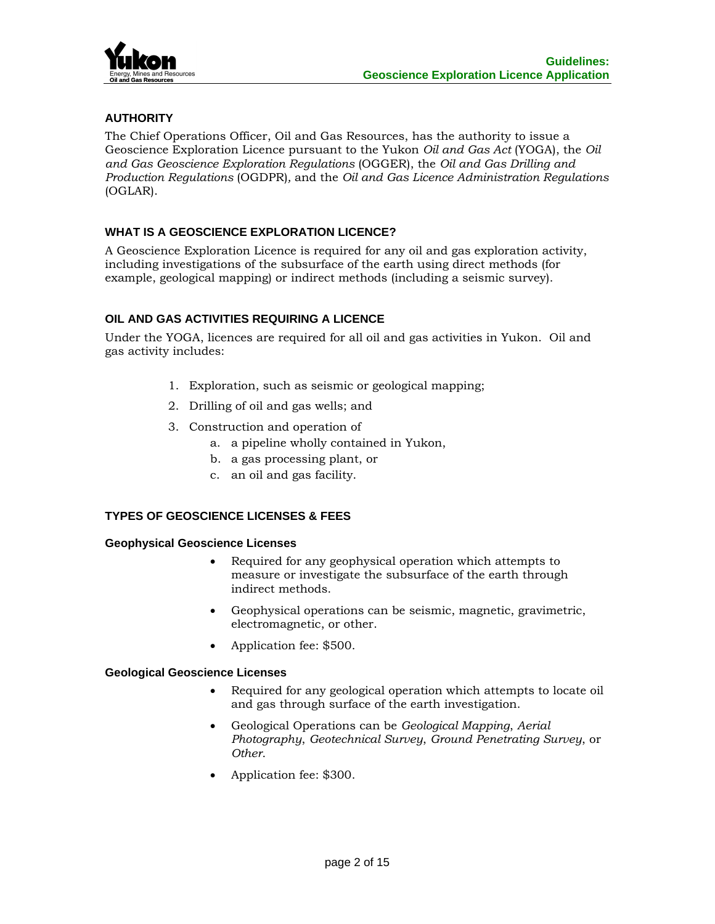

# **AUTHORITY**

The Chief Operations Officer, Oil and Gas Resources, has the authority to issue a Geoscience Exploration Licence pursuant to the Yukon *Oil and Gas Act* (YOGA), the *Oil and Gas Geoscience Exploration Regulations* (OGGER), the *Oil and Gas Drilling and Production Regulations* (OGDPR)*,* and the *Oil and Gas Licence Administration Regulations*  (OGLAR).

# **WHAT IS A GEOSCIENCE EXPLORATION LICENCE?**

A Geoscience Exploration Licence is required for any oil and gas exploration activity, including investigations of the subsurface of the earth using direct methods (for example, geological mapping) or indirect methods (including a seismic survey).

# **OIL AND GAS ACTIVITIES REQUIRING A LICENCE**

Under the YOGA, licences are required for all oil and gas activities in Yukon. Oil and gas activity includes:

- 1. Exploration, such as seismic or geological mapping;
- 2. Drilling of oil and gas wells; and
- 3. Construction and operation of
	- a. a pipeline wholly contained in Yukon,
	- b. a gas processing plant, or
	- c. an oil and gas facility.

# **TYPES OF GEOSCIENCE LICENSES & FEES**

#### **Geophysical Geoscience Licenses**

- Required for any geophysical operation which attempts to measure or investigate the subsurface of the earth through indirect methods.
- Geophysical operations can be seismic, magnetic, gravimetric, electromagnetic, or other.
- Application fee: \$500.

#### **Geological Geoscience Licenses**

- Required for any geological operation which attempts to locate oil and gas through surface of the earth investigation.
- Geological Operations can be *Geological Mapping*, *Aerial Photography*, *Geotechnical Survey*, *Ground Penetrating Survey*, or *Other*.
- Application fee: \$300.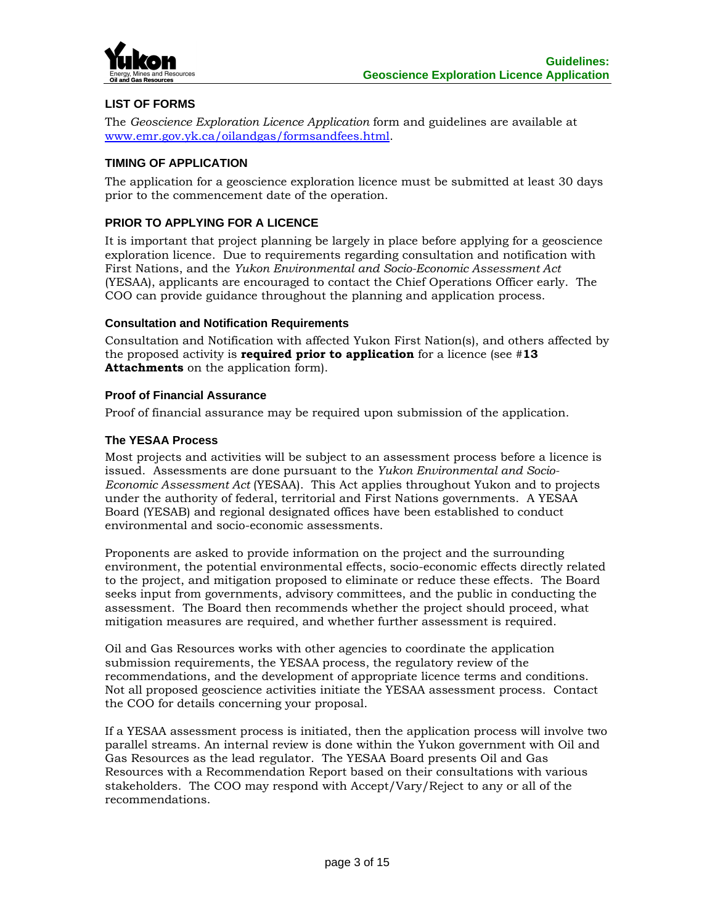

# **LIST OF FORMS**

The *Geoscience Exploration Licence Application* form and guidelines are available at [www.emr.gov.yk.ca/oilandgas/formsandfees.html.](http://www.emr.gov.yk.ca/oilandgas/formsandfees.html)

# **TIMING OF APPLICATION**

The application for a geoscience exploration licence must be submitted at least 30 days prior to the commencement date of the operation.

# **PRIOR TO APPLYING FOR A LICENCE**

It is important that project planning be largely in place before applying for a geoscience exploration licence. Due to requirements regarding consultation and notification with First Nations, and the *Yukon Environmental and Socio-Economic Assessment Act*  (YESAA), applicants are encouraged to contact the Chief Operations Officer early. The COO can provide guidance throughout the planning and application process.

#### **Consultation and Notification Requirements**

Consultation and Notification with affected Yukon First Nation(s), and others affected by the proposed activity is **required prior to application** for a licence (see #**13 Attachments** on the application form).

#### **Proof of Financial Assurance**

Proof of financial assurance may be required upon submission of the application.

# **The YESAA Process**

Most projects and activities will be subject to an assessment process before a licence is issued. Assessments are done pursuant to the *Yukon Environmental and Socio-Economic Assessment Act* (YESAA). This Act applies throughout Yukon and to projects under the authority of federal, territorial and First Nations governments. A YESAA Board (YESAB) and regional designated offices have been established to conduct environmental and socio-economic assessments.

Proponents are asked to provide information on the project and the surrounding environment, the potential environmental effects, socio-economic effects directly related to the project, and mitigation proposed to eliminate or reduce these effects. The Board seeks input from governments, advisory committees, and the public in conducting the assessment. The Board then recommends whether the project should proceed, what mitigation measures are required, and whether further assessment is required.

Oil and Gas Resources works with other agencies to coordinate the application submission requirements, the YESAA process, the regulatory review of the recommendations, and the development of appropriate licence terms and conditions. Not all proposed geoscience activities initiate the YESAA assessment process. Contact the COO for details concerning your proposal.

If a YESAA assessment process is initiated, then the application process will involve two parallel streams. An internal review is done within the Yukon government with Oil and Gas Resources as the lead regulator. The YESAA Board presents Oil and Gas Resources with a Recommendation Report based on their consultations with various stakeholders. The COO may respond with Accept/Vary/Reject to any or all of the recommendations.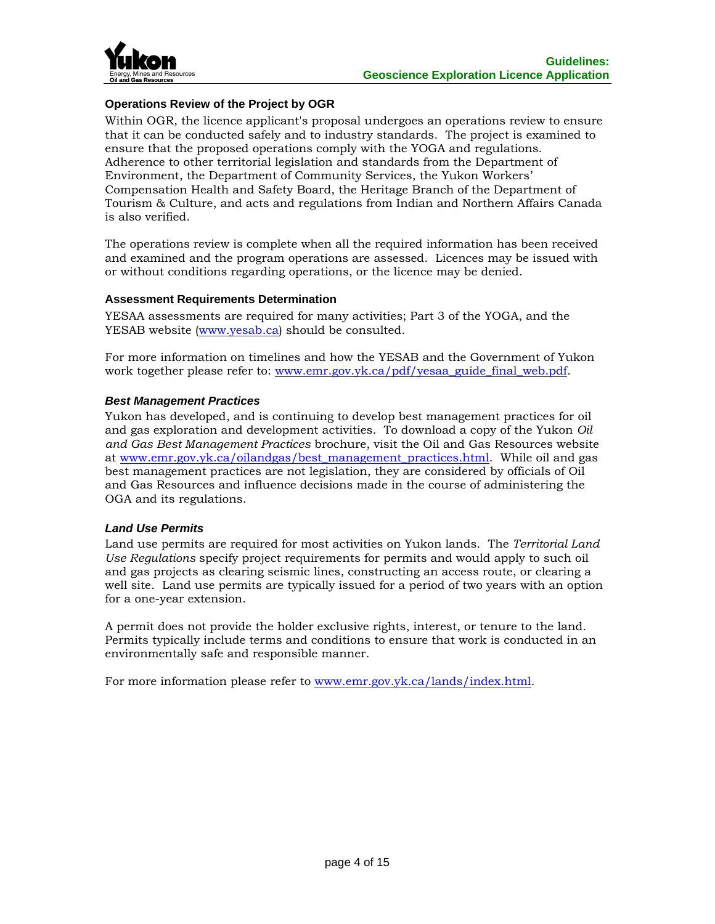

# **Operations Review of the Project by OGR**

Within OGR, the licence applicant's proposal undergoes an operations review to ensure that it can be conducted safely and to industry standards. The project is examined to ensure that the proposed operations comply with the YOGA and regulations. Adherence to other territorial legislation and standards from the Department of Environment, the Department of Community Services, the Yukon Workers' Compensation Health and Safety Board, the Heritage Branch of the Department of Tourism & Culture, and acts and regulations from Indian and Northern Affairs Canada is also verified.

The operations review is complete when all the required information has been received and examined and the program operations are assessed. Licences may be issued with or without conditions regarding operations, or the licence may be denied.

#### **Assessment Requirements Determination**

YESAA assessments are required for many activities; Part 3 of the YOGA, and the YESAB website [\(www.yesab.ca\)](http://www.yesab.ca/) should be consulted.

For more information on timelines and how the YESAB and the Government of Yukon work together please refer to: [www.emr.gov.yk.ca/pdf/yesaa\\_guide\\_final\\_web.pdf.](http://www.emr.gov.yk.ca/pdf/yesaa_guide_final_web.pdf)

# *Best Management Practices*

Yukon has developed, and is continuing to develop best management practices for oil and gas exploration and development activities. To download a copy of the Yukon *Oil and Gas Best Management Practices* brochure, visit the Oil and Gas Resources website at [www.emr.gov.yk.ca/oilandgas/best\\_management\\_practices.html.](http://www.emr.gov.yk.ca/oilandgas/best_management_practices.html) While oil and gas best management practices are not legislation, they are considered by officials of Oil and Gas Resources and influence decisions made in the course of administering the OGA and its regulations.

#### *Land Use Permits*

Land use permits are required for most activities on Yukon lands. The *Territorial Land Use Regulations* specify project requirements for permits and would apply to such oil and gas projects as clearing seismic lines, constructing an access route, or clearing a well site. Land use permits are typically issued for a period of two years with an option for a one-year extension.

A permit does not provide the holder exclusive rights, interest, or tenure to the land. Permits typically include terms and conditions to ensure that work is conducted in an environmentally safe and responsible manner.

For more information please refer to [www.emr.gov.yk.ca/lands/index.html.](http://www.emr.gov.yk.ca/lands/index.html)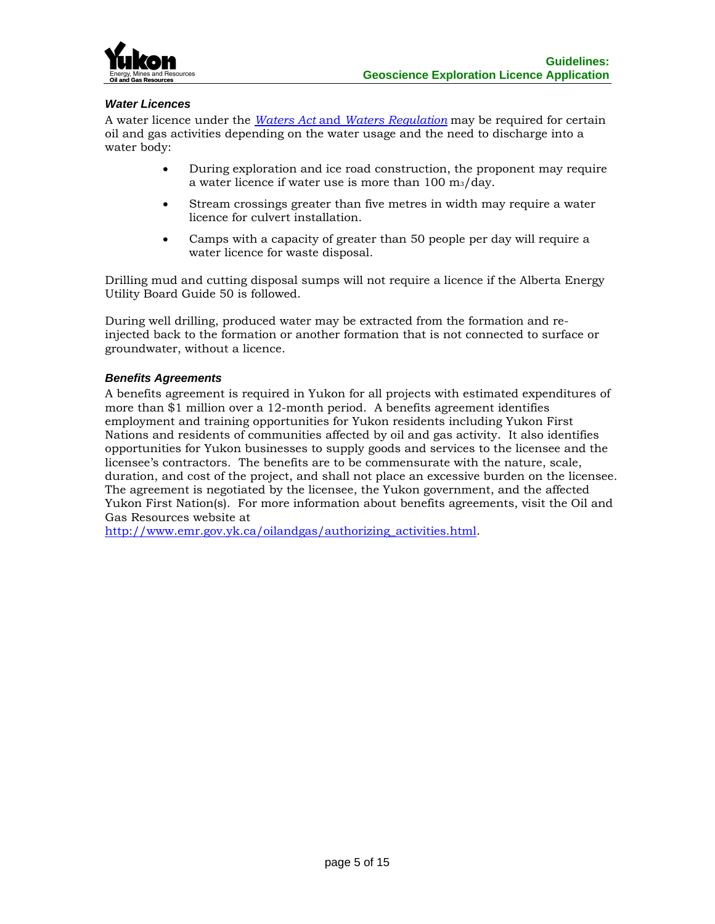

### *Water Licences*

A water licence under the *Waters Act* and *[Waters Regulation](http://www.gov.yk.ca/legislation/legislation/page_w.html)* may be required for certain oil and gas activities depending on the water usage and the need to discharge into a water body:

- During exploration and ice road construction, the proponent may require a water licence if water use is more than 100 m3/day.
- Stream crossings greater than five metres in width may require a water licence for culvert installation.
- Camps with a capacity of greater than 50 people per day will require a water licence for waste disposal.

Drilling mud and cutting disposal sumps will not require a licence if the Alberta Energy Utility Board Guide 50 is followed.

During well drilling, produced water may be extracted from the formation and reinjected back to the formation or another formation that is not connected to surface or groundwater, without a licence.

#### *Benefits Agreements*

A benefits agreement is required in Yukon for all projects with estimated expenditures of more than \$1 million over a 12-month period. A benefits agreement identifies employment and training opportunities for Yukon residents including Yukon First Nations and residents of communities affected by oil and gas activity. It also identifies opportunities for Yukon businesses to supply goods and services to the licensee and the licensee's contractors. The benefits are to be commensurate with the nature, scale, duration, and cost of the project, and shall not place an excessive burden on the licensee. The agreement is negotiated by the licensee, the Yukon government, and the affected Yukon First Nation(s). For more information about benefits agreements, visit the Oil and Gas Resources website at

[http://www.emr.gov.yk.ca/oilandgas/authorizing\\_activities.html.](http://www.emr.gov.yk.ca/oilandgas/authorizing_activities.html)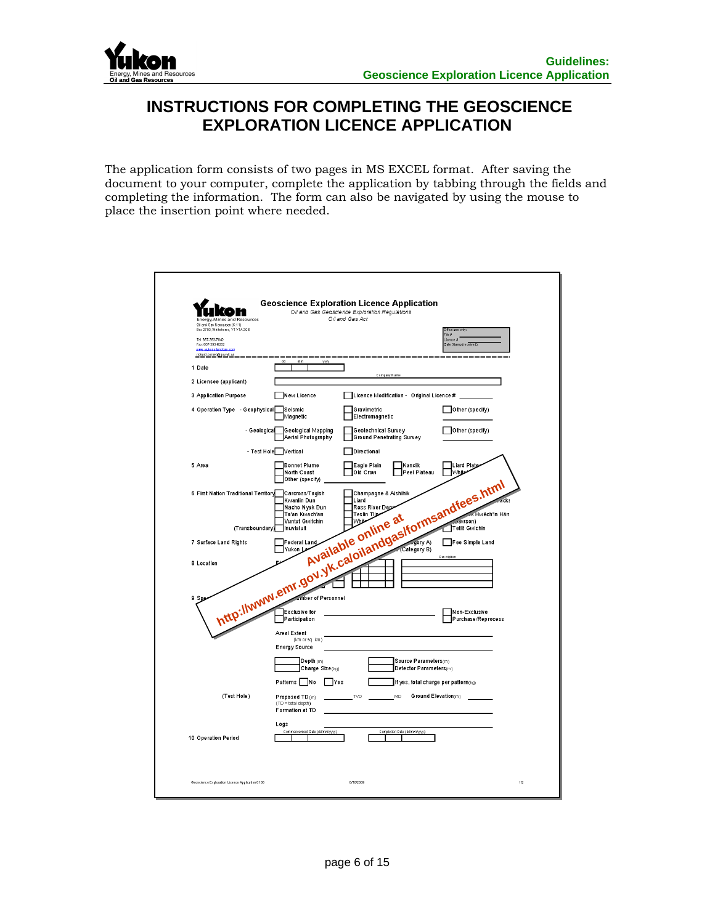

# **INSTRUCTIONS FOR COMPLETING THE GEOSCIENCE EXPLORATION LICENCE APPLICATION**

The application form consists of two pages in MS EXCEL format. After saving the document to your computer, complete the application by tabbing through the fields and completing the information. The form can also be navigated by using the mouse to place the insertion point where needed.

| Energy, Mines and Resources                                                                                                                                |                                                           | <b>Geoscience Exploration Licence Application</b><br>Oil and Gas Geoscience Exploration Regulations<br>Oil and Gas Act |                                                         |
|------------------------------------------------------------------------------------------------------------------------------------------------------------|-----------------------------------------------------------|------------------------------------------------------------------------------------------------------------------------|---------------------------------------------------------|
| Oil and Gas Resources (K-11)<br>Box 2703, Whitehorse, YT Y1A 2C6<br>Tel: 867-393-7042<br>Fax: 867-393-6262<br>www.vukonolandoa<br>richard.corbet@gov.yk.ca |                                                           |                                                                                                                        | Wine und<br>ile #<br>icence #<br>Date Stamp (received): |
| 1 Date                                                                                                                                                     | dd<br>mm<br>yyyy                                          |                                                                                                                        |                                                         |
| 2 Licensee (applicant)                                                                                                                                     |                                                           | Company Name                                                                                                           |                                                         |
| 3 Application Purpose                                                                                                                                      | New Licence                                               | Licence Modification - Original Licence #                                                                              |                                                         |
| 4 Operation Type - Geophysical                                                                                                                             | Seismic<br>Magnetic                                       | Gravimetric<br>Electromagnetic                                                                                         | Other (specify)                                         |
| - Geological                                                                                                                                               | <b>Geological Mapping</b><br>Aerial Photography           | Geotechnical Survey<br><b>Ground Penetrating Survey</b>                                                                | Other (specify)                                         |
|                                                                                                                                                            | - Test Hole Vertical                                      | Directional                                                                                                            |                                                         |
| 5 Area                                                                                                                                                     | <b>Bonnet Plume</b><br>North Coast                        | Eagle Plain<br><b>I</b> Kandik<br>Old Crow<br>Peel Plateau                                                             | Liard Plate<br><b>White</b>                             |
| 6 First Nation Traditional Territory                                                                                                                       |                                                           | http://www.emr.gov.yk.caloliandgas/formsandfees.html                                                                   |                                                         |
| 7 Surface Land Rights                                                                                                                                      |                                                           |                                                                                                                        |                                                         |
| 8 Location<br>9 Spe                                                                                                                                        |                                                           |                                                                                                                        |                                                         |
|                                                                                                                                                            | <b>Areal Extent</b>                                       |                                                                                                                        |                                                         |
|                                                                                                                                                            | (km or sq. km)<br><b>Energy Source</b>                    |                                                                                                                        |                                                         |
|                                                                                                                                                            | Depth (m)<br>Charge Size(kg)                              | Source Parameters(m)<br>Detector Parameters(m)                                                                         |                                                         |
|                                                                                                                                                            | Patterns No<br>TYes                                       | If yes, total charge per pattern(kg)                                                                                   |                                                         |
| (Test Hole)                                                                                                                                                | Proposed TD(m)<br>$(TD = total depth)$<br>Formation at TD | <b>MD</b><br>TVD                                                                                                       | Ground Elevation(m)                                     |
| 10 Operation Period                                                                                                                                        | Logs<br>Commencement Date (dd/mm/yyyy)                    | Completion Date (dd/mm/yyyy)                                                                                           |                                                         |
|                                                                                                                                                            |                                                           |                                                                                                                        |                                                         |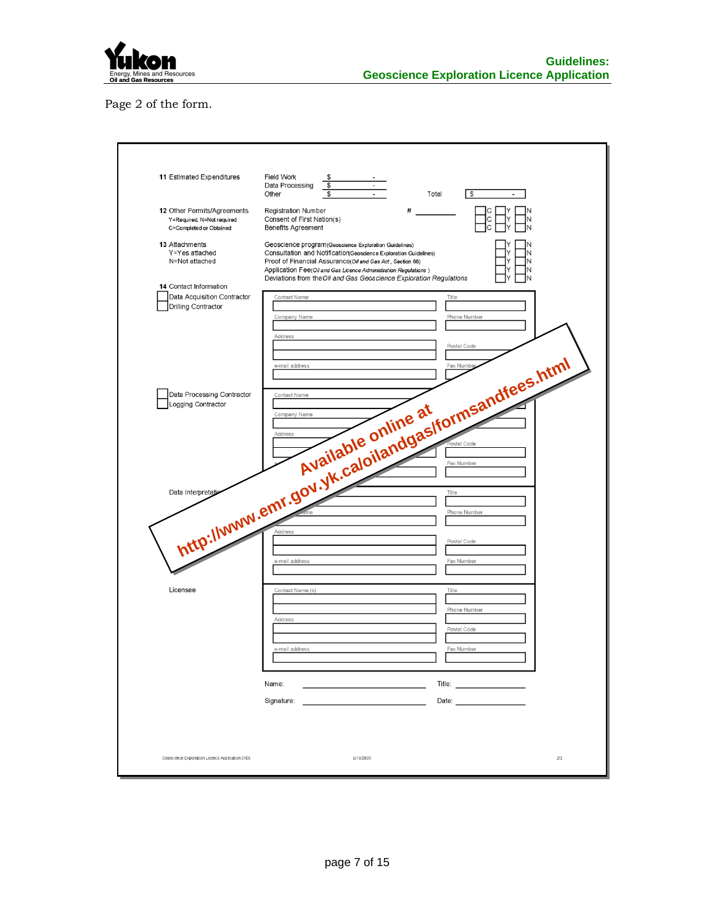

Page 2 of the form.

| 11 Estimated Expenditures                                                            | Field Work<br>\$<br>$\overline{\mathcal{S}}$<br>Data Processing<br>\$<br>Other<br>Total<br>l s<br>$\overline{\phantom{a}}$<br>÷,                                                                                                                                     |
|--------------------------------------------------------------------------------------|----------------------------------------------------------------------------------------------------------------------------------------------------------------------------------------------------------------------------------------------------------------------|
| 12 Other Permits/Agreements<br>Y=Required, N=Not required<br>C=Completed or Obtained | #<br><b>Registration Number</b><br>Consent of First Nation(s)<br>С<br><b>Benefits Agreement</b>                                                                                                                                                                      |
| 13 Attachments<br>Y=Yes attached<br>N=Not attached                                   | Geoscience program (Geoscience Exploration Guidelines)<br>Consultation and Notification Geoscience Exploration Guidelines)<br>Proof of Financial Assurance(Oil and Gas Act, Section 66)<br>N<br>Application Fee(Oil and Gas Licence Administration Regulations)<br>N |
| 14 Contact Information<br>Data Acquisition Contractor<br>Drilling Contractor         | Deviations from the Oil and Gas Geoscience Exploration Regulations<br>Contact Name<br>Title<br>Phone Number<br>Company Name                                                                                                                                          |
|                                                                                      |                                                                                                                                                                                                                                                                      |
|                                                                                      | http://www.emr.gov.yk.caloliandgas/tormsandfees.html                                                                                                                                                                                                                 |
|                                                                                      |                                                                                                                                                                                                                                                                      |
|                                                                                      |                                                                                                                                                                                                                                                                      |
| Licensee                                                                             | Contact Name (s)<br>Title                                                                                                                                                                                                                                            |
|                                                                                      | Phone Number<br>Address<br>Postal Code                                                                                                                                                                                                                               |
|                                                                                      | Fax Number<br>e-mail address<br>Name:                                                                                                                                                                                                                                |
|                                                                                      | Signature:                                                                                                                                                                                                                                                           |
| Geoscience Exploration Licence Application 0106                                      | 6/18/2009<br>$2\prime2$                                                                                                                                                                                                                                              |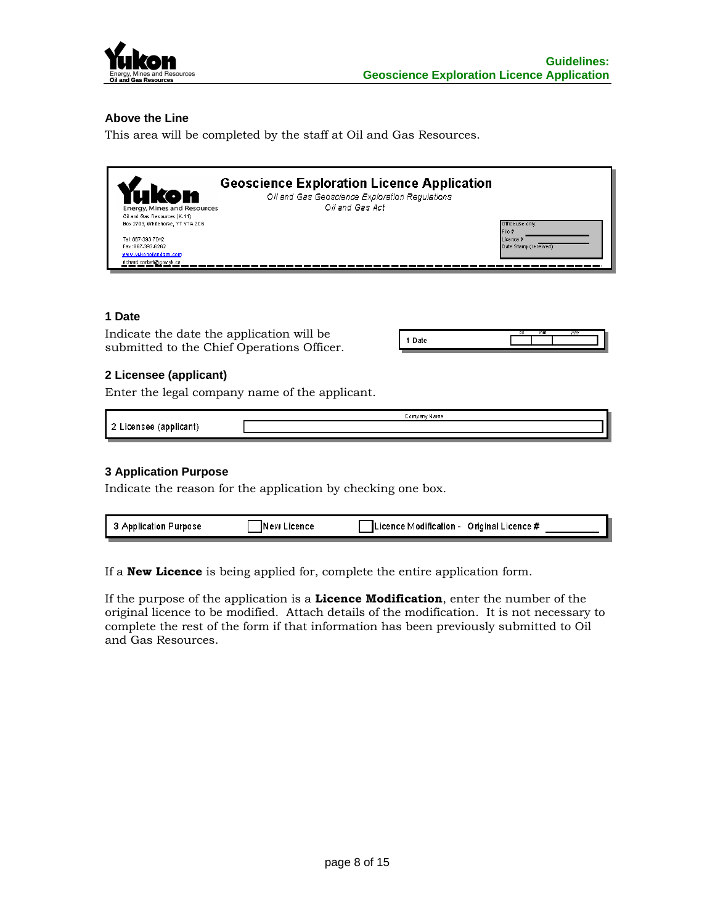

# **Above the Line**

This area will be completed by the staff at Oil and Gas Resources.

| Energy, Mines and Resources<br>Oil and Gas Resources (K-11)<br>Box 2703, Whitehorse, YT Y1A 2C6<br>Tel: 867-393-7042<br>Fax: 867-393-6262<br>www.vukonoilandoas.com<br>richard.corbet@gov.vk.ca | <b>Geoscience Exploration Licence Application</b><br>Oil and Gas Geoscience Exploration Regulations<br>Oil and Gas Act | Office use only:<br>File #<br>Licence #<br>Date Stamp (received): |
|-------------------------------------------------------------------------------------------------------------------------------------------------------------------------------------------------|------------------------------------------------------------------------------------------------------------------------|-------------------------------------------------------------------|
|                                                                                                                                                                                                 |                                                                                                                        |                                                                   |

### **1 Date**

Indicate the date the application will be submitted to the Chief Operations Officer.

#### **2 Licensee (applicant)**

Enter the legal company name of the applicant.

|            | Company Name |
|------------|--------------|
| Tapplican) |              |
|            |              |

#### **3 Application Purpose**

Indicate the reason for the application by checking one box.

| Applicatio<br><b>TOOSL</b><br> | on re<br>м<br>.<br>. . | ∋riginaì<br>e Modification -<br>.icence # |
|--------------------------------|------------------------|-------------------------------------------|
|                                |                        |                                           |

If a **New Licence** is being applied for, complete the entire application form.

If the purpose of the application is a **Licence Modification**, enter the number of the original licence to be modified. Attach details of the modification. It is not necessary to complete the rest of the form if that information has been previously submitted to Oil and Gas Resources.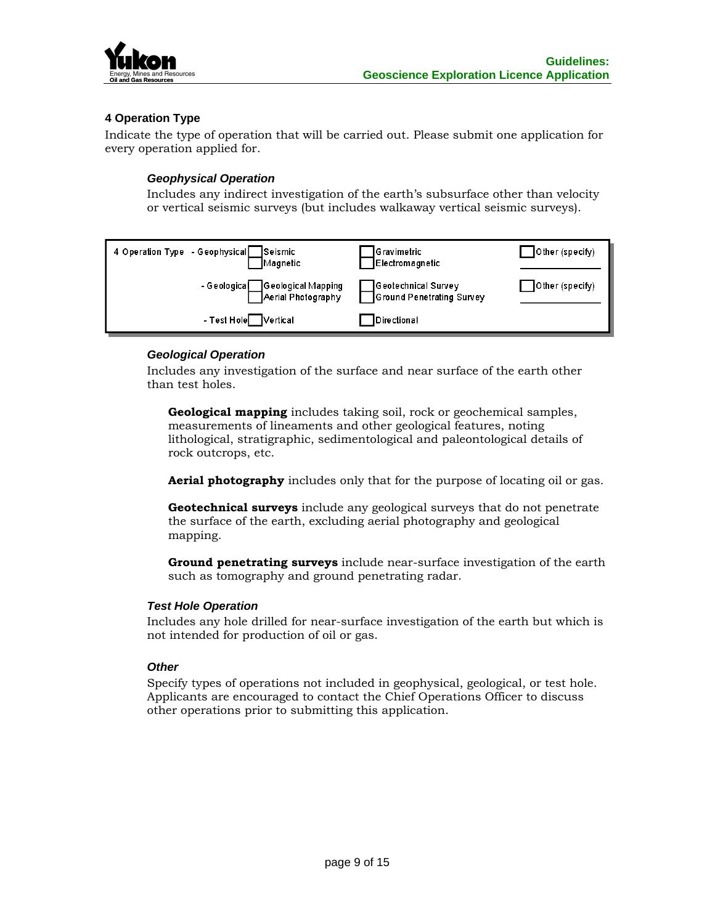

# **4 Operation Type**

Indicate the type of operation that will be carried out. Please submit one application for every operation applied for.

#### *Geophysical Operation*

Includes any indirect investigation of the earth's subsurface other than velocity or vertical seismic surveys (but includes walkaway vertical seismic surveys).

| 4 Operation Type - Geophysical<br>Seismic<br>Magnetic | Gravimetric<br>Electromagnetic                   | Other (specify) |
|-------------------------------------------------------|--------------------------------------------------|-----------------|
| - Geologica Geological Mapping<br>Aerial Photography  | Geotechnical Survey<br>Ground Penetrating Survey | Other (specify) |
| - Test Hole Vertical                                  | Directional                                      |                 |

# *Geological Operation*

Includes any investigation of the surface and near surface of the earth other than test holes.

**Geological mapping** includes taking soil, rock or geochemical samples, measurements of lineaments and other geological features, noting lithological, stratigraphic, sedimentological and paleontological details of rock outcrops, etc.

**Aerial photography** includes only that for the purpose of locating oil or gas.

**Geotechnical surveys** include any geological surveys that do not penetrate the surface of the earth, excluding aerial photography and geological mapping.

**Ground penetrating surveys** include near-surface investigation of the earth such as tomography and ground penetrating radar.

#### *Test Hole Operation*

Includes any hole drilled for near-surface investigation of the earth but which is not intended for production of oil or gas.

#### *Other*

Specify types of operations not included in geophysical, geological, or test hole. Applicants are encouraged to contact the Chief Operations Officer to discuss other operations prior to submitting this application.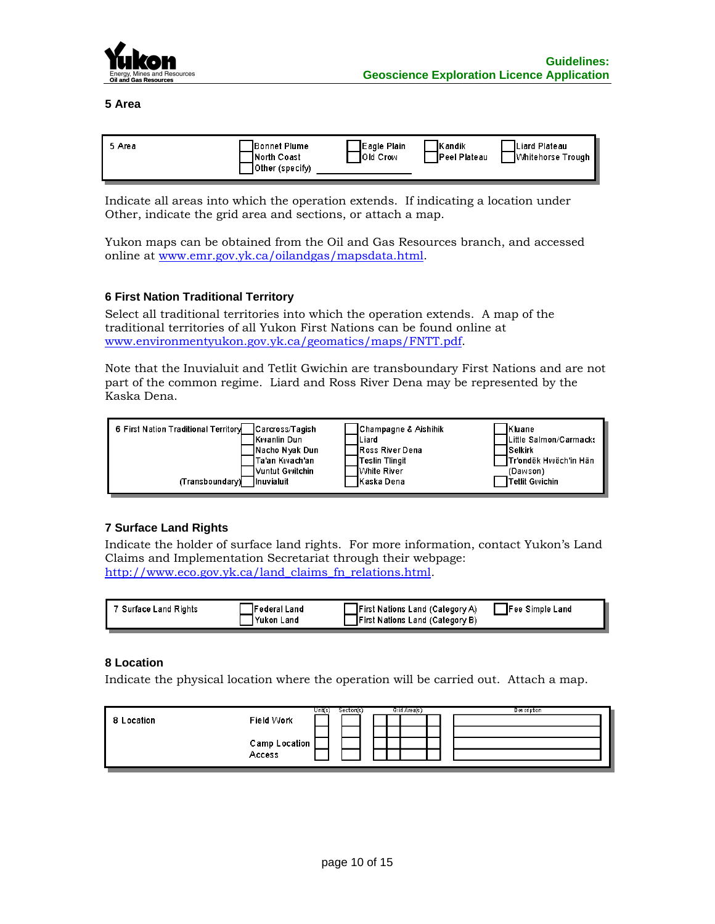

**5 Area**

| 5 Area | Bonnet Plume<br><b>INorth Coast</b><br>Other (specify) | Eagle Plain<br><b>IOId Crow</b> | <b>IKandik</b><br><b>IPeel Plateau</b> | ILiard Plateau<br>▐V⁄ihitehorse Trough |
|--------|--------------------------------------------------------|---------------------------------|----------------------------------------|----------------------------------------|
|--------|--------------------------------------------------------|---------------------------------|----------------------------------------|----------------------------------------|

Indicate all areas into which the operation extends. If indicating a location under Other, indicate the grid area and sections, or attach a map.

Yukon maps can be obtained from the Oil and Gas Resources branch, and accessed online at [www.emr.gov.yk.ca/oilandgas/mapsdata.html.](http://www.emr.gov.yk.ca/oilandgas/mapsdata.html)

# **6 First Nation Traditional Territory**

Select all traditional territories into which the operation extends. A map of the traditional territories of all Yukon First Nations can be found online at [www.environmentyukon.gov.yk.ca/geomatics/maps/FNTT.pdf.](http://www.environmentyukon.gov.yk.ca/geomatics/maps/FNTT.pdf)

Note that the Inuvialuit and Tetlit Gwichin are transboundary First Nations and are not part of the common regime. Liard and Ross River Dena may be represented by the Kaska Dena.

| 6 First Nation Traditional Territory | Carcross/Tagish    | Champagne & Aishihik    | <b>IKluane</b>          |
|--------------------------------------|--------------------|-------------------------|-------------------------|
|                                      | <b>Kwanlin Dun</b> | Liard                   | ILittle Salmon/Carmacks |
|                                      | INacho Nyak Dun    | <b>IRoss River Dena</b> | <b>ISelkirk</b>         |
|                                      | Ta'an Kwach'an     | Teslin Tlingit          | ITr'ondëk Hwëch'in Hän  |
| (Transboundary)                      | l∨untut Gwitchin∶  | <b>I</b> White River    | (Dawson)                |
|                                      | <b>Inuvialuit</b>  | Kaska Dena              | <b>Tetlit Gwichin</b>   |

# **7 Surface Land Rights**

Indicate the holder of surface land rights. For more information, contact Yukon's Land Claims and Implementation Secretariat through their webpage: [http://www.eco.gov.yk.ca/land\\_claims\\_fn\\_relations.html.](http://www.eco.gov.yk.ca/land_claims_fn_relations.html)

| Surface Land Rights | <b>Federal Land</b> | <b>First Nations Land (Category A)</b> | Fee Simple Land |
|---------------------|---------------------|----------------------------------------|-----------------|
|                     | 'Yukon Land         | <b>First Nations Land (Category B)</b> |                 |

#### **8 Location**

Indicate the physical location where the operation will be carried out. Attach a map.

| 8 Location | Field Work              | Unit(s) | Section(s) | Grid Area(s) | <b>Description</b> |
|------------|-------------------------|---------|------------|--------------|--------------------|
|            | Camp Location<br>Access |         |            |              |                    |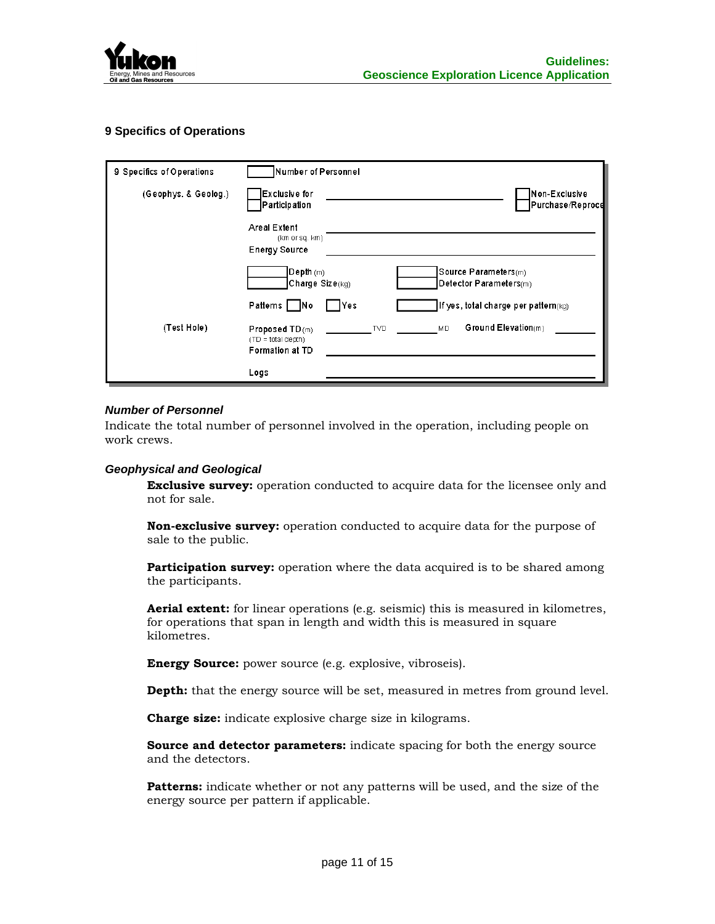

# **9 Specifics of Operations**

| 9 Specifics of Operations | Number of Personnel                                           |            |                                                |
|---------------------------|---------------------------------------------------------------|------------|------------------------------------------------|
| (Geophys, & Geolog.)      | Exclusive for<br> Participation                               |            | Non-Exclusive<br>Purchase/Reproce              |
|                           | <b>Areal Extent</b><br>(km or sq. km)<br><b>Energy Source</b> |            |                                                |
|                           | $\mathsf{Depth}\,(\mathsf{m})$<br>Charge Size(kg)             |            | Source Parameters(m)<br>Detector Parameters(m) |
|                           | Patterns   No                                                 | Yes        | If yes, total charge per pattern(kg)           |
| (Test Hole)               | Proposed TD(m)<br>(TD = total depth)<br>Formation at TD       | <b>TVD</b> | Ground Elevation(m)<br>MD.                     |
|                           | Logs                                                          |            |                                                |

#### *Number of Personnel*

Indicate the total number of personnel involved in the operation, including people on work crews.

#### *Geophysical and Geological*

**Exclusive survey:** operation conducted to acquire data for the licensee only and not for sale.

**Non-exclusive survey:** operation conducted to acquire data for the purpose of sale to the public.

**Participation survey:** operation where the data acquired is to be shared among the participants.

**Aerial extent:** for linear operations (e.g. seismic) this is measured in kilometres, for operations that span in length and width this is measured in square kilometres.

**Energy Source:** power source (e.g. explosive, vibroseis).

**Depth:** that the energy source will be set, measured in metres from ground level.

**Charge size:** indicate explosive charge size in kilograms.

**Source and detector parameters:** indicate spacing for both the energy source and the detectors.

**Patterns:** indicate whether or not any patterns will be used, and the size of the energy source per pattern if applicable.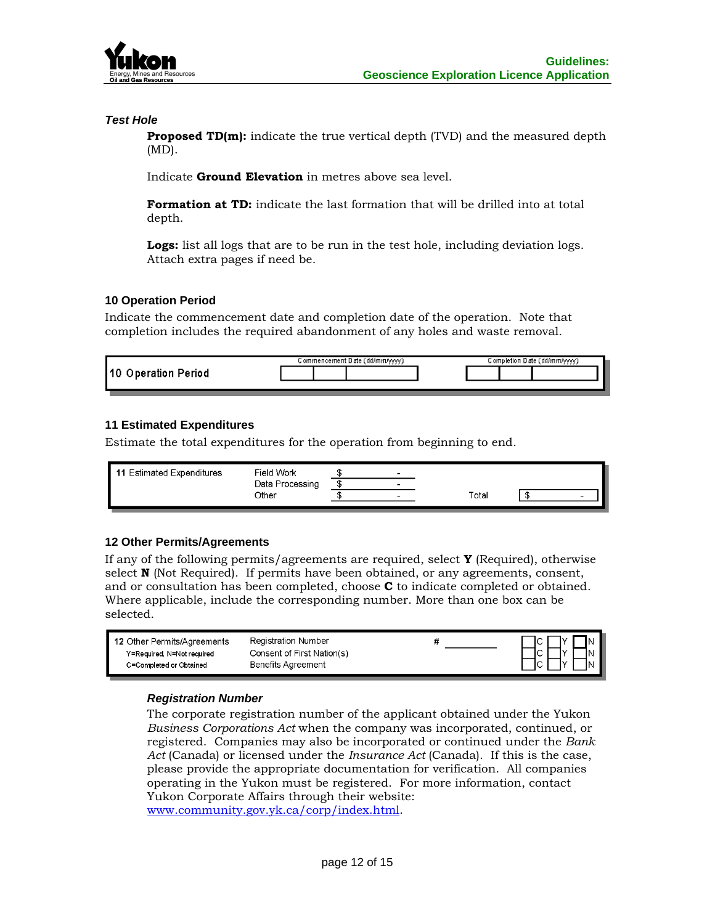

#### *Test Hole*

**Proposed TD(m):** indicate the true vertical depth (TVD) and the measured depth (MD).

Indicate **Ground Elevation** in metres above sea level.

**Formation at TD:** indicate the last formation that will be drilled into at total depth.

**Logs:** list all logs that are to be run in the test hole, including deviation logs. Attach extra pages if need be.

# **10 Operation Period**

Indicate the commencement date and completion date of the operation. Note that completion includes the required abandonment of any holes and waste removal.

|                         | commencement Date (dd/mm/yyyy). |  |  | Completion Date (dd/mm/yyyy) |  |  |  |
|-------------------------|---------------------------------|--|--|------------------------------|--|--|--|
| Operation Period<br>110 |                                 |  |  |                              |  |  |  |
|                         |                                 |  |  |                              |  |  |  |

# **11 Estimated Expenditures**

Estimate the total expenditures for the operation from beginning to end.

| - 11<br><b>Estimated Expenditures</b> | Field Work      | $\overline{\phantom{0}}$ |             |   |
|---------------------------------------|-----------------|--------------------------|-------------|---|
|                                       | Data Processing | $\overline{\phantom{0}}$ |             |   |
|                                       | Other           | $\overline{\phantom{0}}$ | $\tau$ otal | - |
|                                       |                 |                          |             |   |

#### **12 Other Permits/Agreements**

If any of the following permits/agreements are required, select **Y** (Required), otherwise select **N** (Not Required). If permits have been obtained, or any agreements, consent, and or consultation has been completed, choose **C** to indicate completed or obtained. Where applicable, include the corresponding number. More than one box can be selected.

| 12 Other Permits/Agreements | Registration Number        | שו       |
|-----------------------------|----------------------------|----------|
| Y=Required, N=Not required  | Consent of First Nation(s) | -lN<br>י |
| C=Completed or Obtained     | Benefits Agreement         | IN       |

#### *Registration Number*

The corporate registration number of the applicant obtained under the Yukon *Business Corporations Act* when the company was incorporated, continued, or registered. Companies may also be incorporated or continued under the *Bank Act* (Canada) or licensed under the *Insurance Act* (Canada). If this is the case, please provide the appropriate documentation for verification. All companies operating in the Yukon must be registered. For more information, contact Yukon Corporate Affairs through their website: [www.community.gov.yk.ca/corp/index.html.](http://www.community.gov.yk.ca/corp/index.html)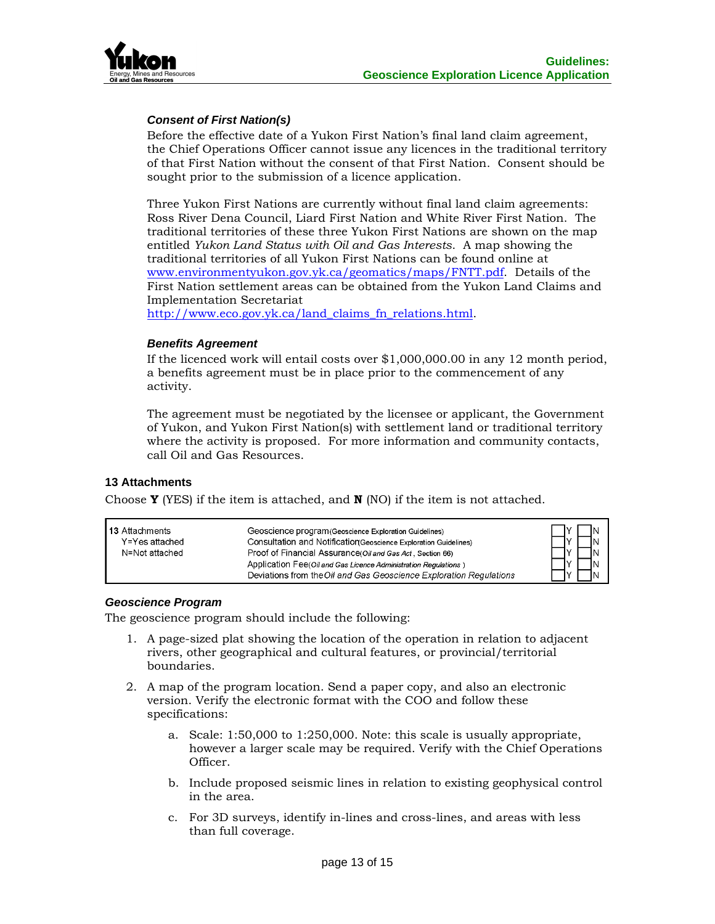

# *Consent of First Nation(s)*

Before the effective date of a Yukon First Nation's final land claim agreement, the Chief Operations Officer cannot issue any licences in the traditional territory of that First Nation without the consent of that First Nation. Consent should be sought prior to the submission of a licence application.

Three Yukon First Nations are currently without final land claim agreements: Ross River Dena Council, Liard First Nation and White River First Nation. The traditional territories of these three Yukon First Nations are shown on the map entitled *Yukon Land Status with Oil and Gas Interests*. A map showing the traditional territories of all Yukon First Nations can be found online at [www.environmentyukon.gov.yk.ca/geomatics/maps/FNTT.pdf.](http://www.environmentyukon.gov.yk.ca/geomatics/maps/FNTT.pdf) Details of the First Nation settlement areas can be obtained from the Yukon Land Claims and Implementation Secretariat

[http://www.eco.gov.yk.ca/land\\_claims\\_fn\\_relations.html.](http://www.eco.gov.yk.ca/land_claims_fn_relations.html)

#### *Benefits Agreement*

If the licenced work will entail costs over \$1,000,000.00 in any 12 month period, a benefits agreement must be in place prior to the commencement of any activity.

The agreement must be negotiated by the licensee or applicant, the Government of Yukon, and Yukon First Nation(s) with settlement land or traditional territory where the activity is proposed. For more information and community contacts, call Oil and Gas Resources.

# **13 Attachments**

Choose **Y** (YES) if the item is attached, and **N** (NO) if the item is not attached.

| l 13 Attachments | Geoscience program (Geoscience Exploration Guidelines)             | ΙN  |
|------------------|--------------------------------------------------------------------|-----|
| Y=Yes attached   | Consultation and Notification Geoscience Exploration Guidelines)   | IN  |
| N=Not attached   | Proof of Financial Assurance(Oil and Gas Act, Section 66)          |     |
|                  | Application Fee(Oil and Gas Licence Administration Regulations)    |     |
|                  | Deviations from the Oil and Gas Geoscience Exploration Regulations | IN. |

#### *Geoscience Program*

The geoscience program should include the following:

- 1. A page-sized plat showing the location of the operation in relation to adjacent rivers, other geographical and cultural features, or provincial/territorial boundaries.
- 2. A map of the program location. Send a paper copy, and also an electronic version. Verify the electronic format with the COO and follow these specifications:
	- a. Scale: 1:50,000 to 1:250,000. Note: this scale is usually appropriate, however a larger scale may be required. Verify with the Chief Operations Officer.
	- b. Include proposed seismic lines in relation to existing geophysical control in the area.
	- c. For 3D surveys, identify in-lines and cross-lines, and areas with less than full coverage.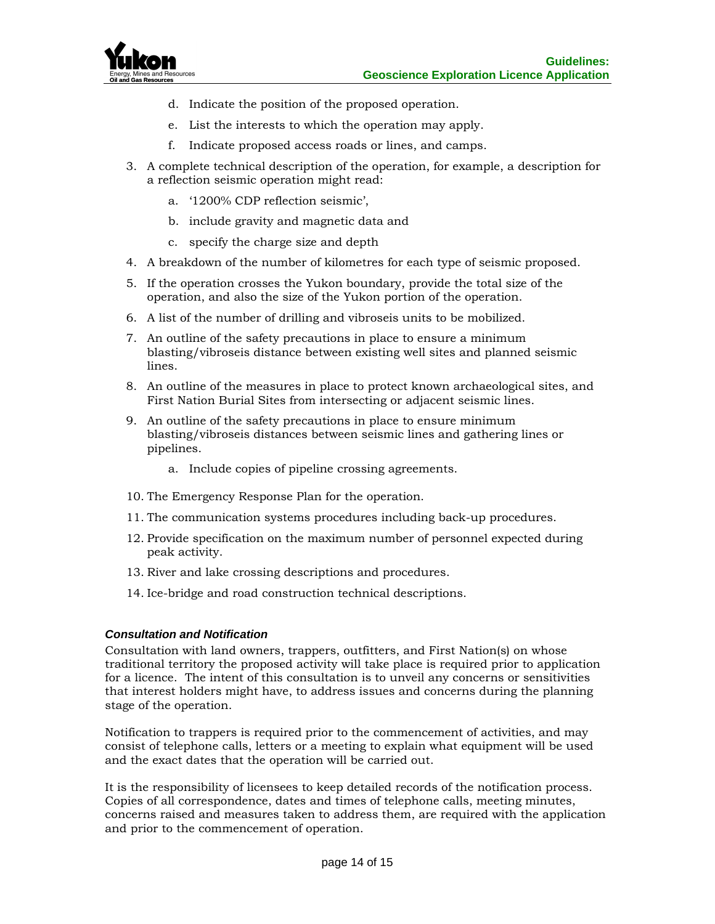

- d. Indicate the position of the proposed operation.
- e. List the interests to which the operation may apply.
- f. Indicate proposed access roads or lines, and camps.
- 3. A complete technical description of the operation, for example, a description for a reflection seismic operation might read:
	- a. '1200% CDP reflection seismic',
	- b. include gravity and magnetic data and
	- c. specify the charge size and depth
- 4. A breakdown of the number of kilometres for each type of seismic proposed.
- 5. If the operation crosses the Yukon boundary, provide the total size of the operation, and also the size of the Yukon portion of the operation.
- 6. A list of the number of drilling and vibroseis units to be mobilized.
- 7. An outline of the safety precautions in place to ensure a minimum blasting/vibroseis distance between existing well sites and planned seismic lines.
- 8. An outline of the measures in place to protect known archaeological sites, and First Nation Burial Sites from intersecting or adjacent seismic lines.
- 9. An outline of the safety precautions in place to ensure minimum blasting/vibroseis distances between seismic lines and gathering lines or pipelines.
	- a. Include copies of pipeline crossing agreements.
- 10. The Emergency Response Plan for the operation.
- 11. The communication systems procedures including back-up procedures.
- 12. Provide specification on the maximum number of personnel expected during peak activity.
- 13. River and lake crossing descriptions and procedures.
- 14. Ice-bridge and road construction technical descriptions.

# *Consultation and Notification*

Consultation with land owners, trappers, outfitters, and First Nation(s) on whose traditional territory the proposed activity will take place is required prior to application for a licence. The intent of this consultation is to unveil any concerns or sensitivities that interest holders might have, to address issues and concerns during the planning stage of the operation.

Notification to trappers is required prior to the commencement of activities, and may consist of telephone calls, letters or a meeting to explain what equipment will be used and the exact dates that the operation will be carried out.

It is the responsibility of licensees to keep detailed records of the notification process. Copies of all correspondence, dates and times of telephone calls, meeting minutes, concerns raised and measures taken to address them, are required with the application and prior to the commencement of operation.